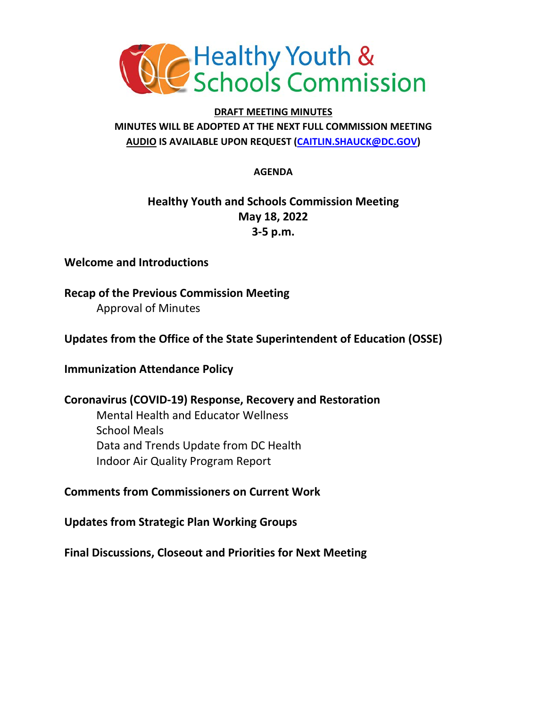

### **DRAFT MEETING MINUTES MINUTES WILL BE ADOPTED AT THE NEXT FULL COMMISSION MEETING AUDIO IS AVAILABLE UPON REQUEST [\(CAITLIN.SHAUCK@DC.GOV\)](mailto:CAITLIN.SHAUCK@DC.GOV)**

**AGENDA**

## **Healthy Youth and Schools Commission Meeting May 18, 2022 3-5 p.m.**

**Welcome and Introductions** 

**Recap of the Previous Commission Meeting**  Approval of Minutes

**Updates from the Office of the State Superintendent of Education (OSSE)**

**Immunization Attendance Policy** 

**Coronavirus (COVID-19) Response, Recovery and Restoration**  Mental Health and Educator Wellness School Meals Data and Trends Update from DC Health Indoor Air Quality Program Report

**Comments from Commissioners on Current Work**

**Updates from Strategic Plan Working Groups**

**Final Discussions, Closeout and Priorities for Next Meeting**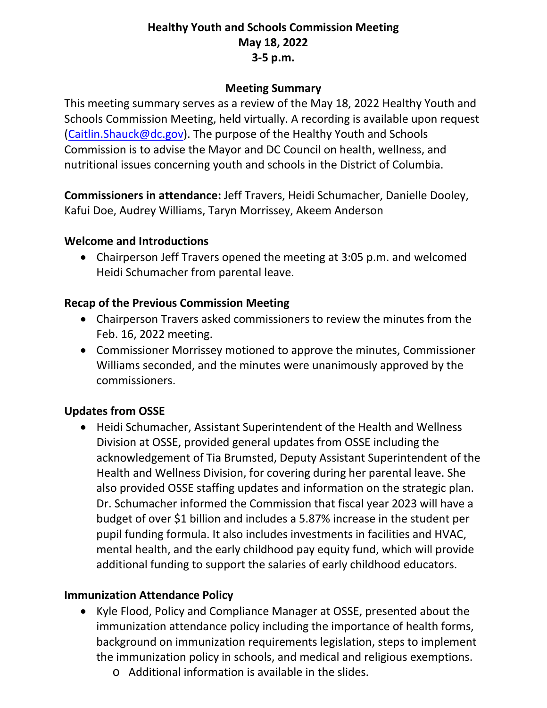## **Healthy Youth and Schools Commission Meeting May 18, 2022 3-5 p.m.**

#### **Meeting Summary**

This meeting summary serves as a review of the May 18, 2022 Healthy Youth and Schools Commission Meeting, held virtually. A recording is available upon request [\(Caitlin.Shauck@dc.gov\)](mailto:Caitlin.Shauck@dc.gov). The purpose of the Healthy Youth and Schools Commission is to advise the Mayor and DC Council on health, wellness, and nutritional issues concerning youth and schools in the District of Columbia.

**Commissioners in attendance:** Jeff Travers, Heidi Schumacher, Danielle Dooley, Kafui Doe, Audrey Williams, Taryn Morrissey, Akeem Anderson

#### **Welcome and Introductions**

• Chairperson Jeff Travers opened the meeting at 3:05 p.m. and welcomed Heidi Schumacher from parental leave.

### **Recap of the Previous Commission Meeting**

- Chairperson Travers asked commissioners to review the minutes from the Feb. 16, 2022 meeting.
- Commissioner Morrissey motioned to approve the minutes, Commissioner Williams seconded, and the minutes were unanimously approved by the commissioners.

### **Updates from OSSE**

• Heidi Schumacher, Assistant Superintendent of the Health and Wellness Division at OSSE, provided general updates from OSSE including the acknowledgement of Tia Brumsted, Deputy Assistant Superintendent of the Health and Wellness Division, for covering during her parental leave. She also provided OSSE staffing updates and information on the strategic plan. Dr. Schumacher informed the Commission that fiscal year 2023 will have a budget of over \$1 billion and includes a 5.87% increase in the student per pupil funding formula. It also includes investments in facilities and HVAC, mental health, and the early childhood pay equity fund, which will provide additional funding to support the salaries of early childhood educators.

### **Immunization Attendance Policy**

- Kyle Flood, Policy and Compliance Manager at OSSE, presented about the immunization attendance policy including the importance of health forms, background on immunization requirements legislation, steps to implement the immunization policy in schools, and medical and religious exemptions.
	- o Additional information is available in the slides.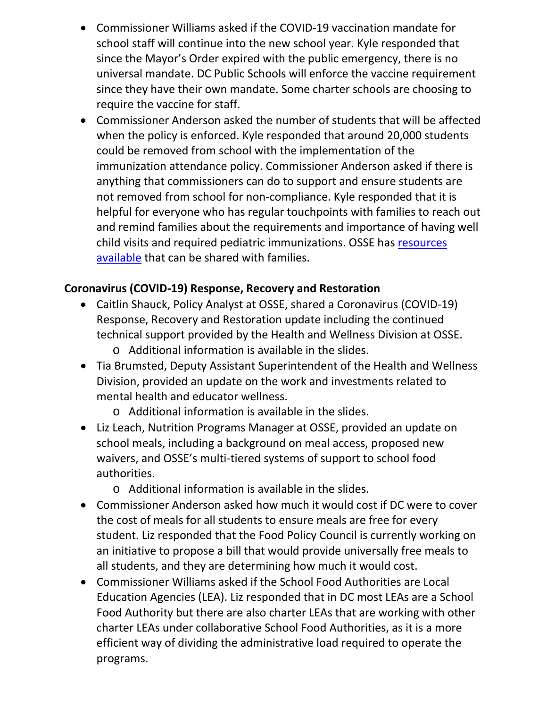- Commissioner Williams asked if the COVID-19 vaccination mandate for school staff will continue into the new school year. Kyle responded that since the Mayor's Order expired with the public emergency, there is no universal mandate. DC Public Schools will enforce the vaccine requirement since they have their own mandate. Some charter schools are choosing to require the vaccine for staff.
- Commissioner Anderson asked the number of students that will be affected when the policy is enforced. Kyle responded that around 20,000 students could be removed from school with the implementation of the immunization attendance policy. Commissioner Anderson asked if there is anything that commissioners can do to support and ensure students are not removed from school for non-compliance. Kyle responded that it is helpful for everyone who has regular touchpoints with families to reach out and remind families about the requirements and importance of having well child visits and required pediatric immunizations. OSSE has [resources](https://osse.dc.gov/page/district-columbia-immunization-attendance-policy)  [available](https://osse.dc.gov/page/district-columbia-immunization-attendance-policy) that can be shared with families.

## **Coronavirus (COVID-19) Response, Recovery and Restoration**

- Caitlin Shauck, Policy Analyst at OSSE, shared a Coronavirus (COVID-19) Response, Recovery and Restoration update including the continued technical support provided by the Health and Wellness Division at OSSE.
	- o Additional information is available in the slides.
- Tia Brumsted, Deputy Assistant Superintendent of the Health and Wellness Division, provided an update on the work and investments related to mental health and educator wellness.
	- o Additional information is available in the slides.
- Liz Leach, Nutrition Programs Manager at OSSE, provided an update on school meals, including a background on meal access, proposed new waivers, and OSSE's multi-tiered systems of support to school food authorities.
	- $\circ$  Additional information is available in the slides.
- Commissioner Anderson asked how much it would cost if DC were to cover the cost of meals for all students to ensure meals are free for every student. Liz responded that the Food Policy Council is currently working on an initiative to propose a bill that would provide universally free meals to all students, and they are determining how much it would cost.
- Commissioner Williams asked if the School Food Authorities are Local Education Agencies (LEA). Liz responded that in DC most LEAs are a School Food Authority but there are also charter LEAs that are working with other charter LEAs under collaborative School Food Authorities, as it is a more efficient way of dividing the administrative load required to operate the programs.